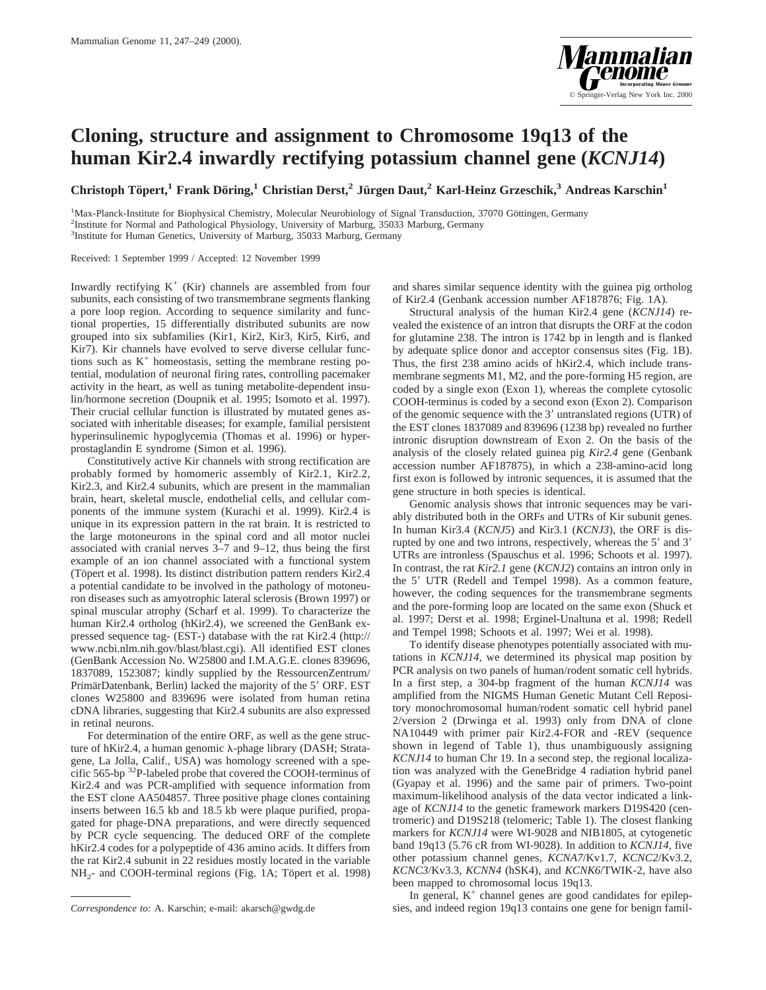

## **Cloning, structure and assignment to Chromosome 19q13 of the human Kir2.4 inwardly rectifying potassium channel gene (***KCNJ14***)**

**Christoph Töpert,<sup>1</sup> Frank Döring,<sup>1</sup> Christian Derst,<sup>2</sup> Jürgen Daut,<sup>2</sup> Karl-Heinz Grzeschik,<sup>3</sup> Andreas Karschin<sup>1</sup>** 

<sup>1</sup>Max-Planck-Institute for Biophysical Chemistry, Molecular Neurobiology of Signal Transduction, 37070 Göttingen, Germany<br><sup>2</sup>Institute for Normal and Pathological Physiology University of Marburg, 25033 Marburg, Germany <sup>2</sup>Institute for Normal and Pathological Physiology, University of Marburg, 35033 Marburg, Germany 3 Institute for Human Genetics, University of Marburg, 35033 Marburg, Germany

Received: 1 September 1999 / Accepted: 12 November 1999

Inwardly rectifying  $K^+$  (Kir) channels are assembled from four subunits, each consisting of two transmembrane segments flanking a pore loop region. According to sequence similarity and functional properties, 15 differentially distributed subunits are now grouped into six subfamilies (Kir1, Kir2, Kir3, Kir5, Kir6, and Kir7). Kir channels have evolved to serve diverse cellular functions such as  $K^+$  homeostasis, setting the membrane resting potential, modulation of neuronal firing rates, controlling pacemaker activity in the heart, as well as tuning metabolite-dependent insulin/hormone secretion (Doupnik et al. 1995; Isomoto et al. 1997). Their crucial cellular function is illustrated by mutated genes associated with inheritable diseases; for example, familial persistent hyperinsulinemic hypoglycemia (Thomas et al. 1996) or hyperprostaglandin E syndrome (Simon et al. 1996).

Constitutively active Kir channels with strong rectification are probably formed by homomeric assembly of Kir2.1, Kir2.2, Kir2.3, and Kir2.4 subunits, which are present in the mammalian brain, heart, skeletal muscle, endothelial cells, and cellular components of the immune system (Kurachi et al. 1999). Kir2.4 is unique in its expression pattern in the rat brain. It is restricted to the large motoneurons in the spinal cord and all motor nuclei associated with cranial nerves 3–7 and 9–12, thus being the first example of an ion channel associated with a functional system (Töpert et al. 1998). Its distinct distribution pattern renders Kir2.4 a potential candidate to be involved in the pathology of motoneuron diseases such as amyotrophic lateral sclerosis (Brown 1997) or spinal muscular atrophy (Scharf et al. 1999). To characterize the human Kir2.4 ortholog (hKir2.4), we screened the GenBank expressed sequence tag- (EST-) database with the rat Kir2.4 (http:// www.ncbi.nlm.nih.gov/blast/blast.cgi). All identified EST clones (GenBank Accession No. W25800 and I.M.A.G.E. clones 839696, 1837089, 1523087; kindly supplied by the RessourcenZentrum/ PrimärDatenbank, Berlin) lacked the majority of the 5' ORF. EST clones W25800 and 839696 were isolated from human retina cDNA libraries, suggesting that Kir2.4 subunits are also expressed in retinal neurons.

For determination of the entire ORF, as well as the gene structure of hKir2.4, a human genomic λ-phage library (DASH; Stratagene, La Jolla, Calif., USA) was homology screened with a specific 565-bp 32P-labeled probe that covered the COOH-terminus of Kir2.4 and was PCR-amplified with sequence information from the EST clone AA504857. Three positive phage clones containing inserts between 16.5 kb and 18.5 kb were plaque purified, propagated for phage-DNA preparations, and were directly sequenced by PCR cycle sequencing. The deduced ORF of the complete hKir2.4 codes for a polypeptide of 436 amino acids. It differs from the rat Kir2.4 subunit in 22 residues mostly located in the variable  $NH<sub>2</sub>$ - and COOH-terminal regions (Fig. 1A; Töpert et al. 1998)

and shares similar sequence identity with the guinea pig ortholog of Kir2.4 (Genbank accession number AF187876; Fig. 1A).

Structural analysis of the human Kir2.4 gene (*KCNJ14*) revealed the existence of an intron that disrupts the ORF at the codon for glutamine 238. The intron is 1742 bp in length and is flanked by adequate splice donor and acceptor consensus sites (Fig. 1B). Thus, the first 238 amino acids of hKir2.4, which include transmembrane segments M1, M2, and the pore-forming H5 region, are coded by a single exon (Exon 1), whereas the complete cytosolic COOH-terminus is coded by a second exon (Exon 2). Comparison of the genomic sequence with the  $3'$  untranslated regions (UTR) of the EST clones 1837089 and 839696 (1238 bp) revealed no further intronic disruption downstream of Exon 2. On the basis of the analysis of the closely related guinea pig *Kir2.4* gene (Genbank accession number AF187875), in which a 238-amino-acid long first exon is followed by intronic sequences, it is assumed that the gene structure in both species is identical.

Genomic analysis shows that intronic sequences may be variably distributed both in the ORFs and UTRs of Kir subunit genes. In human Kir3.4 (*KCNJ5*) and Kir3.1 (*KCNJ3*), the ORF is disrupted by one and two introns, respectively, whereas the  $5'$  and  $3'$ UTRs are intronless (Spauschus et al. 1996; Schoots et al. 1997). In contrast, the rat *Kir2.1* gene (*KCNJ2*) contains an intron only in the 5' UTR (Redell and Tempel 1998). As a common feature, however, the coding sequences for the transmembrane segments and the pore-forming loop are located on the same exon (Shuck et al. 1997; Derst et al. 1998; Erginel-Unaltuna et al. 1998; Redell and Tempel 1998; Schoots et al. 1997; Wei et al. 1998).

To identify disease phenotypes potentially associated with mutations in *KCNJ14,* we determined its physical map position by PCR analysis on two panels of human/rodent somatic cell hybrids. In a first step, a 304-bp fragment of the human *KCNJ14* was amplified from the NIGMS Human Genetic Mutant Cell Repository monochromosomal human/rodent somatic cell hybrid panel 2/version 2 (Drwinga et al. 1993) only from DNA of clone NA10449 with primer pair Kir2.4-FOR and -REV (sequence shown in legend of Table 1), thus unambiguously assigning *KCNJ14* to human Chr 19. In a second step, the regional localization was analyzed with the GeneBridge 4 radiation hybrid panel (Gyapay et al. 1996) and the same pair of primers. Two-point maximum-likelihood analysis of the data vector indicated a linkage of *KCNJ14* to the genetic framework markers D19S420 (centromeric) and D19S218 (telomeric; Table 1). The closest flanking markers for *KCNJ14* were WI-9028 and NIB1805, at cytogenetic band 19q13 (5.76 cR from WI-9028). In addition to *KCNJ14,* five other potassium channel genes, *KCNA7*/Kv1.7, *KCNC2*/Kv3.2, *KCNC3*/Kv3.3, *KCNN4* (hSK4), and *KCNK6*/TWIK-2, have also been mapped to chromosomal locus 19q13.

In general,  $K^+$  channel genes are good candidates for epilep-*Correspondence to:* A. Karschin; e-mail: akarsch@gwdg.de sies, and indeed region 19q13 contains one gene for benign famil-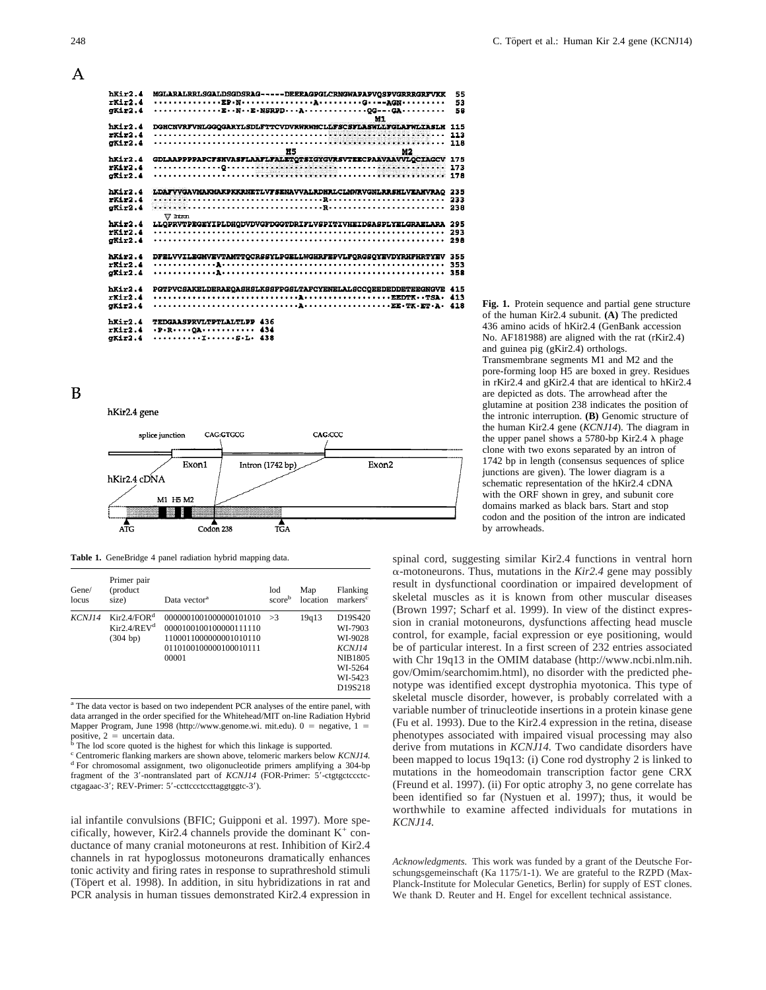| hRir2.4<br>$r$ Kir $2.4$ | MGLARALRRLSGALDSGDSRAG-----DEEEAGPGLCRNGWAPAPVQSPVGRRRGRFVKK                                           | 55<br>53 |
|--------------------------|--------------------------------------------------------------------------------------------------------|----------|
| GKir2.4                  | ENE.NSRPDAOG---GA<br>M1                                                                                | 58       |
| $h$ Kir $2.4$            | DGHCNVRFVNLGGQGARYLSDLFTTCVDVRWRWMCLLFSCSFLASWLLFGLAFWLIASLH                                           | 115      |
| rR1r2.4                  |                                                                                                        | 113      |
| gKir2.4                  |                                                                                                        |          |
|                          | Ħ5<br>M2                                                                                               |          |
| $h$ k $1+2.4$            | GDLAAPPPPAPCFSHVASFLAAFLFALETQTSIGYGVRSVTEECPAAVAAVVLQCIAGCV                                           | - 175    |
| $r$ Kir2.4               |                                                                                                        | 173      |
| $0$ Kir $2$ .4           |                                                                                                        |          |
| $h$ Kir $2.4$            | LDAFVVGAVMAKMAKPKKRNETLVFSENAVVALRDHRLCLMWRVGNLRRSHLVEAHVRAO                                           | 235      |
| rR1r2.4                  |                                                                                                        | 233      |
| GKir2.4                  |                                                                                                        | 238      |
|                          | $\nabla$ litron                                                                                        |          |
| $h$ Kir $2.4$            | LLOPRVTPEGEYIPLDHODVDVGFDGGTDRIFLVSPITIVHEIDSASPLYELGRAELARA                                           | 295      |
| rR1r2.4                  |                                                                                                        | 293      |
| $0K12$ .4                |                                                                                                        |          |
|                          |                                                                                                        |          |
| $h$ Kir $2.4$            | DFELVVILEGMVEVTAMTTOCRSSYLPGELLWGHRFEPVLFORGSOYEVDYRHFHRTYEV                                           | 355      |
| $rx1r2$ .4               |                                                                                                        | 353      |
| gKir2.4                  |                                                                                                        |          |
|                          |                                                                                                        |          |
| $h$ Kir $2.4$            | PGTPVCSAKELDERAEOASHSLKSSFPGSLTAFCYENELALSCCOEEDEDDETEEGNGVE 415                                       |          |
| rKir2.4                  |                                                                                                        |          |
| $a$ Kir $2.4$            |                                                                                                        |          |
|                          |                                                                                                        |          |
| Mxz2.4                   | TEDGAASPRVLTPTLALTLPP 436                                                                              |          |
| $r$ Kir2.4               | $\cdot P \cdot R \cdot \cdot \cdot \cdot QA \cdot \cdot \cdot \cdot \cdot \cdot \cdot \cdot \cdot 434$ |          |
| $\sigma$ Kir $2.4$       | TS.L. 438                                                                                              |          |

B

hKir2.4 gene



**Table 1.** GeneBridge 4 panel radiation hybrid mapping data.

| Gene/<br>locus | Primer pair<br>(product)<br>size)                                             | Data vector <sup>a</sup>                                                                                      | lod<br>scoreb | Map<br>location | Flanking<br>markers <sup>c</sup>                                                                  |
|----------------|-------------------------------------------------------------------------------|---------------------------------------------------------------------------------------------------------------|---------------|-----------------|---------------------------------------------------------------------------------------------------|
| KCNJ14         | $\text{Kir2.4}/\text{FOR}^{\text{d}}$<br>Kir2.4/REV <sup>d</sup><br>(304 b p) | 0000001001000000101010<br>0000100100100000111110<br>1100011000000001010110<br>0110100100000100010111<br>00001 | >3            | 19q13           | D19S420<br>WI-7903<br>WI-9028<br><b>KCNJ14</b><br><b>NIB1805</b><br>WI-5264<br>WI-5423<br>D19S218 |

<sup>a</sup> The data vector is based on two independent PCR analyses of the entire panel, with data arranged in the order specified for the Whitehead/MIT on-line Radiation Hybrid Mapper Program, June 1998 (http://www.genome.wi. mit.edu).  $0 =$  negative,  $1 =$  positive,  $2 =$  uncertain data

The lod score quoted is the highest for which this linkage is supported.

<sup>c</sup> Centromeric flanking markers are shown above, telomeric markers below *KCNJ14*. d<sub>For</sub> chromosomal assignment, two oligonucleotide primers amplifying a 304-bp fragment of the 3'-nontranslated part of *KCNJ14* (FOR-Primer: 5'-ctgtgctccctcctgagaac-3'; REV-Primer: 5'-ccttccctccttaggtggtc-3').

ial infantile convulsions (BFIC; Guipponi et al. 1997). More specifically, however, Kir2.4 channels provide the dominant  $K^+$  conductance of many cranial motoneurons at rest. Inhibition of Kir2.4 channels in rat hypoglossus motoneurons dramatically enhances tonic activity and firing rates in response to suprathreshold stimuli (Töpert et al. 1998). In addition, in situ hybridizations in rat and PCR analysis in human tissues demonstrated Kir2.4 expression in

**Fig. 1.** Protein sequence and partial gene structure of the human Kir2.4 subunit. **(A)** The predicted 436 amino acids of hKir2.4 (GenBank accession No. AF181988) are aligned with the rat (rKir2.4) and guinea pig (gKir2.4) orthologs. Transmembrane segments M1 and M2 and the pore-forming loop H5 are boxed in grey. Residues in rKir2.4 and gKir2.4 that are identical to hKir2.4 are depicted as dots. The arrowhead after the glutamine at position 238 indicates the position of the intronic interruption. **(B)** Genomic structure of the human Kir2.4 gene (*KCNJ14*). The diagram in the upper panel shows a 5780-bp Kir2.4  $\lambda$  phage clone with two exons separated by an intron of 1742 bp in length (consensus sequences of splice junctions are given). The lower diagram is a schematic representation of the hKir2.4 cDNA with the ORF shown in grey, and subunit core domains marked as black bars. Start and stop codon and the position of the intron are indicated by arrowheads.

spinal cord, suggesting similar Kir2.4 functions in ventral horn  $\alpha$ -motoneurons. Thus, mutations in the *Kir2.4* gene may possibly result in dysfunctional coordination or impaired development of skeletal muscles as it is known from other muscular diseases (Brown 1997; Scharf et al. 1999). In view of the distinct expression in cranial motoneurons, dysfunctions affecting head muscle control, for example, facial expression or eye positioning, would be of particular interest. In a first screen of 232 entries associated with Chr 19q13 in the OMIM database (http://www.ncbi.nlm.nih. gov/Omim/searchomim.html), no disorder with the predicted phenotype was identified except dystrophia myotonica. This type of skeletal muscle disorder, however, is probably correlated with a variable number of trinucleotide insertions in a protein kinase gene (Fu et al. 1993). Due to the Kir2.4 expression in the retina, disease phenotypes associated with impaired visual processing may also derive from mutations in *KCNJ14.* Two candidate disorders have been mapped to locus 19q13: (i) Cone rod dystrophy 2 is linked to mutations in the homeodomain transcription factor gene CRX (Freund et al. 1997). (ii) For optic atrophy 3, no gene correlate has been identified so far (Nystuen et al. 1997); thus, it would be worthwhile to examine affected individuals for mutations in *KCNJ14.*

*Acknowledgments.* This work was funded by a grant of the Deutsche Forschungsgemeinschaft (Ka 1175/1-1). We are grateful to the RZPD (Max-Planck-Institute for Molecular Genetics, Berlin) for supply of EST clones. We thank D. Reuter and H. Engel for excellent technical assistance.

A